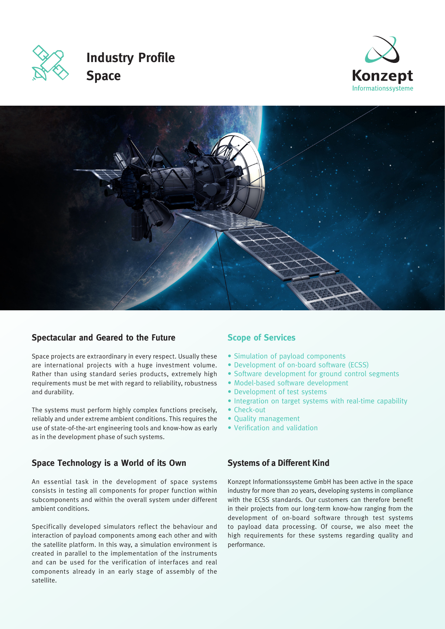

# **Industry Profile Space**





#### **Spectacular and Geared to the Future**

Space projects are extraordinary in every respect. Usually these are international projects with a huge investment volume. Rather than using standard series products, extremely high requirements must be met with regard to reliability, robustness and durability.

The systems must perform highly complex functions precisely, reliably and under extreme ambient conditions. This requires the use of state-of-the-art engineering tools and know-how as early as in the development phase of such systems.

## **Space Technology is a World of its Own**

An essential task in the development of space systems consists in testing all components for proper function within subcomponents and within the overall system under different ambient conditions.

Specifically developed simulators reflect the behaviour and interaction of payload components among each other and with the satellite platform. In this way, a simulation environment is created in parallel to the implementation of the instruments and can be used for the verification of interfaces and real components already in an early stage of assembly of the satellite.

#### **Scope of Services**

- Simulation of payload components
- Development of on-board software (ECSS)
- Software development for ground control segments
- Model-based software development
- Development of test systems
- Integration on target systems with real-time capability
- Check-out
- Quality management
- Verification and validation

#### **Systems of a Different Kind**

Konzept Informationssysteme GmbH has been active in the space industry for more than 20 years, developing systems in compliance with the ECSS standards. Our customers can therefore benefit in their projects from our long-term know-how ranging from the development of on-board software through test systems to payload data processing. Of course, we also meet the high requirements for these systems regarding quality and performance.